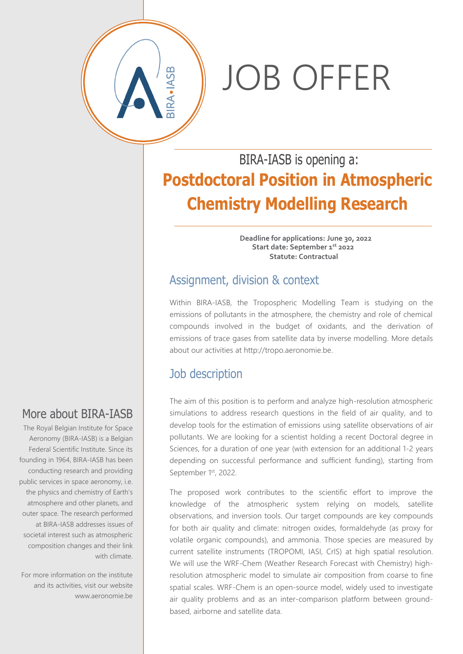# JOB OFFER

## BIRA-IASB is opening a: **Postdoctoral Position in Atmospheric Chemistry Modelling Research**

**Deadline for applications: June 30, 2022 Start date: September 1 st 2022 Statute: Contractual**

#### Assignment, division & context

Within BIRA-IASB, the Tropospheric Modelling Team is studying on the emissions of pollutants in the atmosphere, the chemistry and role of chemical compounds involved in the budget of oxidants, and the derivation of emissions of trace gases from satellite data by inverse modelling. More details about our activities at http://tropo.aeronomie.be.

### Job description

The aim of this position is to perform and analyze high-resolution atmospheric simulations to address research questions in the field of air quality, and to develop tools for the estimation of emissions using satellite observations of air pollutants. We are looking for a scientist holding a recent Doctoral degree in Sciences, for a duration of one year (with extension for an additional 1-2 years depending on successful performance and sufficient funding), starting from September 1st, 2022.

The proposed work contributes to the scientific effort to improve the knowledge of the atmospheric system relying on models, satellite observations, and inversion tools. Our target compounds are key compounds for both air quality and climate: nitrogen oxides, formaldehyde (as proxy for volatile organic compounds), and ammonia. Those species are measured by current satellite instruments (TROPOMI, IASI, CrIS) at high spatial resolution. We will use the WRF-Chem (Weather Research Forecast with Chemistry) highresolution atmospheric model to simulate air composition from coarse to fine spatial scales. WRF-Chem is an open-source model, widely used to investigate air quality problems and as an inter-comparison platform between groundbased, airborne and satellite data.

### More about BIRA-IASB

The Royal Belgian Institute for Space Aeronomy (BIRA-IASB) is a Belgian Federal Scientific Institute. Since its founding in 1964, BIRA-IASB has been conducting research and providing public services in space aeronomy, i.e. the physics and chemistry of Earth's atmosphere and other planets, and outer space. The research performed at BIRA-IASB addresses issues of societal interest such as atmospheric composition changes and their link with climate.

For more information on the institute and its activities, visit our website www.aeronomie.be